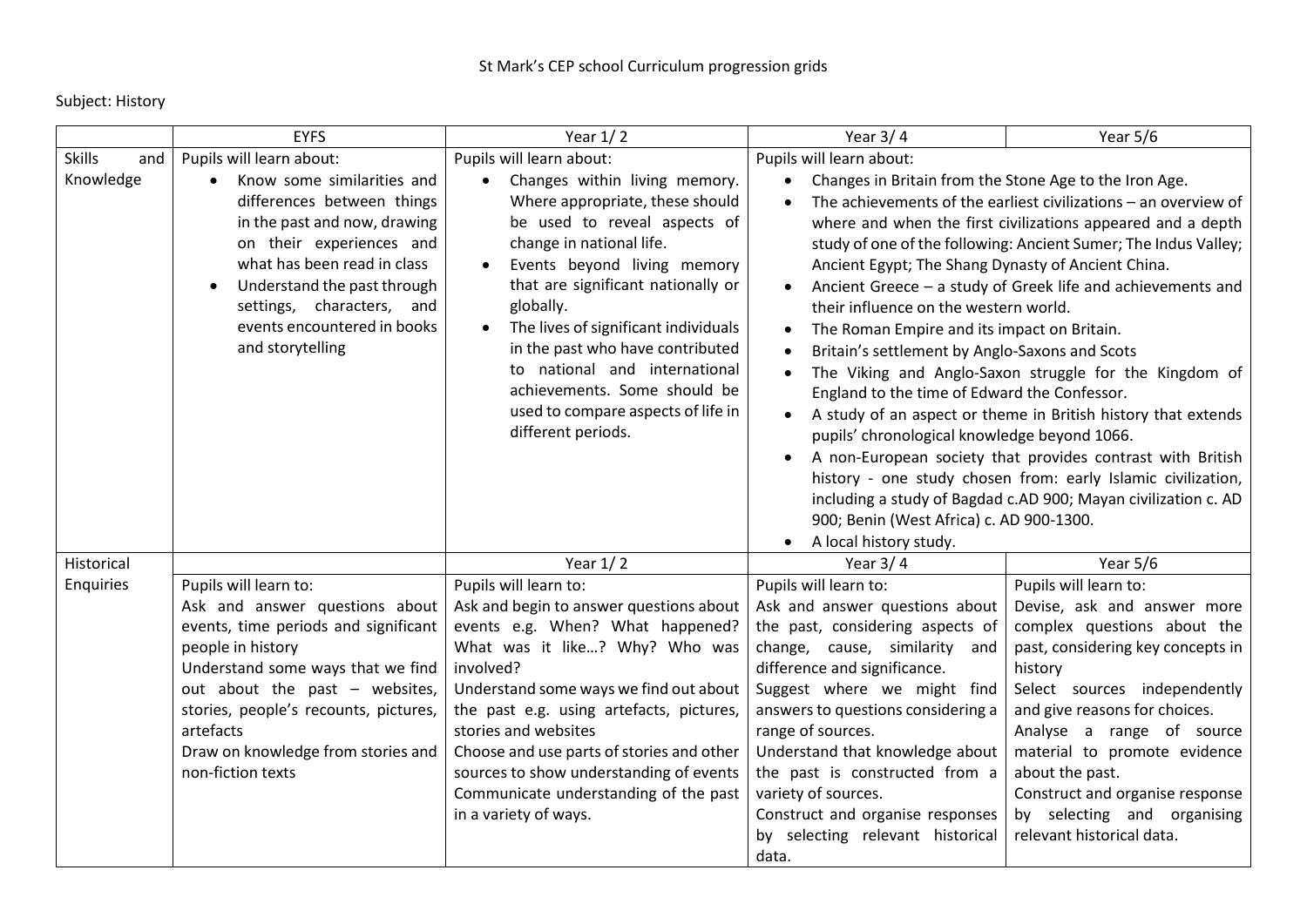Subject: History

|                      | <b>EYFS</b>                                                                                                                                                                                                                                                                                                                                                                                                                                                                                                                                                                                                                                                                               | Year $1/2$                                                                                                                                                                                                                                                                                                                                                                                                                           | Year $3/4$                                                                                                                                                                                                                                                                                                                                                                                                                                                                                                                                                                                                                                                                                                                                                               | Year 5/6                                                                                                                                                                                                                                                                                                                                                                                                                                                                                                                                                                                    |  |
|----------------------|-------------------------------------------------------------------------------------------------------------------------------------------------------------------------------------------------------------------------------------------------------------------------------------------------------------------------------------------------------------------------------------------------------------------------------------------------------------------------------------------------------------------------------------------------------------------------------------------------------------------------------------------------------------------------------------------|--------------------------------------------------------------------------------------------------------------------------------------------------------------------------------------------------------------------------------------------------------------------------------------------------------------------------------------------------------------------------------------------------------------------------------------|--------------------------------------------------------------------------------------------------------------------------------------------------------------------------------------------------------------------------------------------------------------------------------------------------------------------------------------------------------------------------------------------------------------------------------------------------------------------------------------------------------------------------------------------------------------------------------------------------------------------------------------------------------------------------------------------------------------------------------------------------------------------------|---------------------------------------------------------------------------------------------------------------------------------------------------------------------------------------------------------------------------------------------------------------------------------------------------------------------------------------------------------------------------------------------------------------------------------------------------------------------------------------------------------------------------------------------------------------------------------------------|--|
| <b>Skills</b><br>and | Pupils will learn about:                                                                                                                                                                                                                                                                                                                                                                                                                                                                                                                                                                                                                                                                  | Pupils will learn about:                                                                                                                                                                                                                                                                                                                                                                                                             | Pupils will learn about:                                                                                                                                                                                                                                                                                                                                                                                                                                                                                                                                                                                                                                                                                                                                                 |                                                                                                                                                                                                                                                                                                                                                                                                                                                                                                                                                                                             |  |
| Knowledge            | Know some similarities and<br>differences between things<br>in the past and now, drawing<br>on their experiences and<br>what has been read in class<br>Understand the past through<br>settings, characters, and<br>events encountered in books<br>and storytelling                                                                                                                                                                                                                                                                                                                                                                                                                        | Changes within living memory.<br>$\bullet$<br>Where appropriate, these should<br>be used to reveal aspects of<br>change in national life.<br>Events beyond living memory<br>that are significant nationally or<br>globally.<br>The lives of significant individuals<br>in the past who have contributed<br>to national and international<br>achievements. Some should be<br>used to compare aspects of life in<br>different periods. | Changes in Britain from the Stone Age to the Iron Age.<br>Ancient Egypt; The Shang Dynasty of Ancient China.<br>their influence on the western world.<br>The Roman Empire and its impact on Britain.<br>Britain's settlement by Anglo-Saxons and Scots<br>England to the time of Edward the Confessor.<br>pupils' chronological knowledge beyond 1066.<br>900; Benin (West Africa) c. AD 900-1300.<br>A local history study.                                                                                                                                                                                                                                                                                                                                             | The achievements of the earliest civilizations - an overview of<br>where and when the first civilizations appeared and a depth<br>study of one of the following: Ancient Sumer; The Indus Valley;<br>Ancient Greece - a study of Greek life and achievements and<br>The Viking and Anglo-Saxon struggle for the Kingdom of<br>A study of an aspect or theme in British history that extends<br>A non-European society that provides contrast with British<br>history - one study chosen from: early Islamic civilization,<br>including a study of Bagdad c.AD 900; Mayan civilization c. AD |  |
| Historical           |                                                                                                                                                                                                                                                                                                                                                                                                                                                                                                                                                                                                                                                                                           | Year $1/2$                                                                                                                                                                                                                                                                                                                                                                                                                           | Year $3/4$                                                                                                                                                                                                                                                                                                                                                                                                                                                                                                                                                                                                                                                                                                                                                               | Year 5/6                                                                                                                                                                                                                                                                                                                                                                                                                                                                                                                                                                                    |  |
| Enquiries            | Pupils will learn to:                                                                                                                                                                                                                                                                                                                                                                                                                                                                                                                                                                                                                                                                     | Pupils will learn to:                                                                                                                                                                                                                                                                                                                                                                                                                | Pupils will learn to:                                                                                                                                                                                                                                                                                                                                                                                                                                                                                                                                                                                                                                                                                                                                                    | Pupils will learn to:                                                                                                                                                                                                                                                                                                                                                                                                                                                                                                                                                                       |  |
|                      | Ask and answer questions about<br>Ask and begin to answer questions about<br>events, time periods and significant<br>events e.g. When? What happened?<br>people in history<br>What was it like? Why? Who was<br>involved?<br>Understand some ways that we find<br>out about the past - websites,<br>Understand some ways we find out about<br>stories, people's recounts, pictures,<br>the past e.g. using artefacts, pictures,<br>artefacts<br>stories and websites<br>Draw on knowledge from stories and<br>Choose and use parts of stories and other<br>non-fiction texts<br>sources to show understanding of events<br>Communicate understanding of the past<br>in a variety of ways. |                                                                                                                                                                                                                                                                                                                                                                                                                                      | Ask and answer questions about<br>Devise, ask and answer more<br>the past, considering aspects of<br>complex questions about the<br>past, considering key concepts in<br>change, cause, similarity and<br>difference and significance.<br>history<br>Suggest where we might find<br>Select sources independently<br>and give reasons for choices.<br>answers to questions considering a<br>range of sources.<br>Analyse a range of source<br>Understand that knowledge about<br>material to promote evidence<br>the past is constructed from a<br>about the past.<br>variety of sources.<br>Construct and organise response<br>Construct and organise responses<br>by selecting and organising<br>relevant historical data.<br>by selecting relevant historical<br>data. |                                                                                                                                                                                                                                                                                                                                                                                                                                                                                                                                                                                             |  |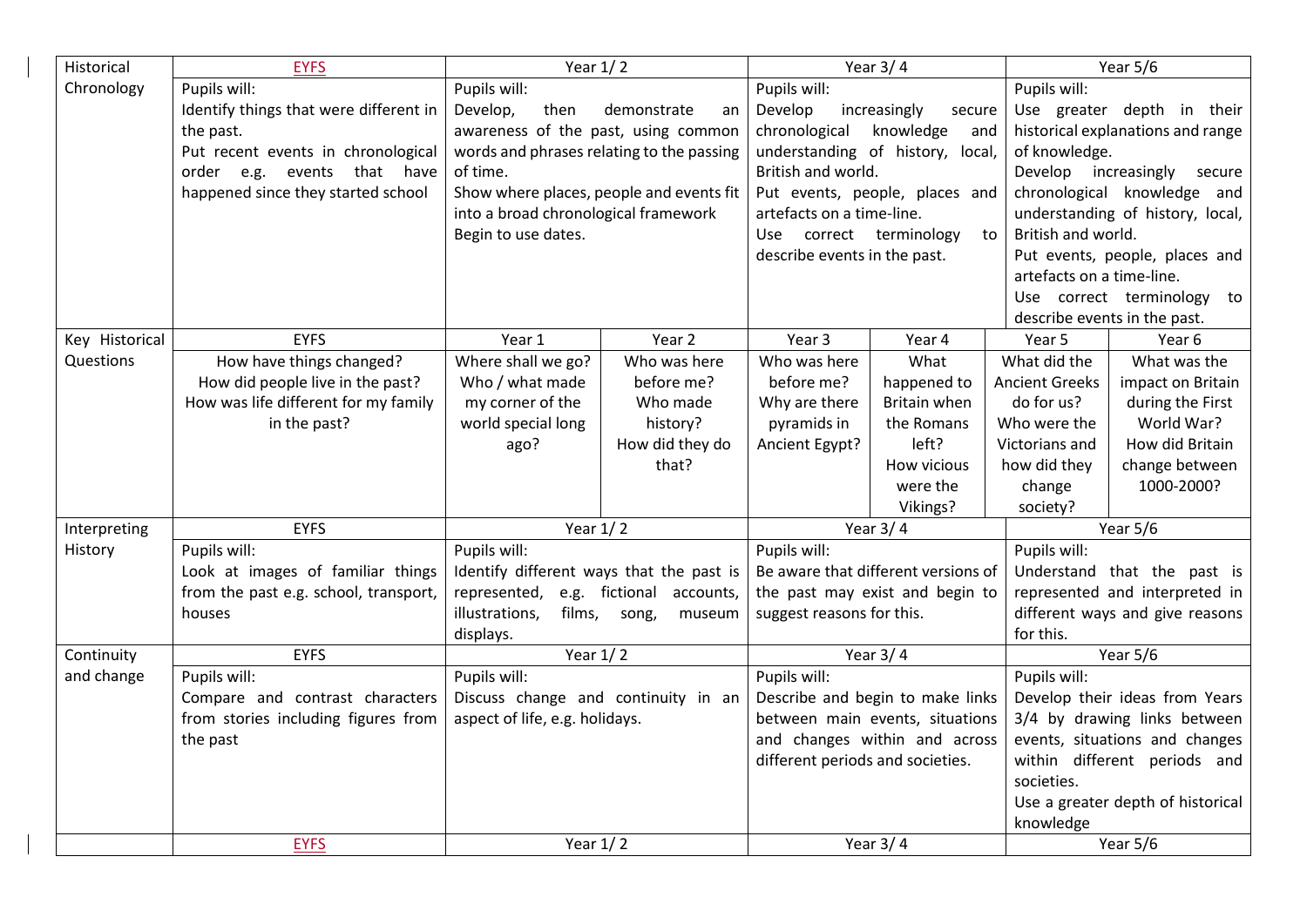| Historical     | <b>EYFS</b>                            | Year $1/2$                                                                                              |                                                        | Year $3/4$                                                                                           |                                 | Year $5/6$                        |                                  |  |  |
|----------------|----------------------------------------|---------------------------------------------------------------------------------------------------------|--------------------------------------------------------|------------------------------------------------------------------------------------------------------|---------------------------------|-----------------------------------|----------------------------------|--|--|
| Chronology     | Pupils will:                           | Pupils will:                                                                                            | Pupils will:                                           |                                                                                                      |                                 | Pupils will:                      |                                  |  |  |
|                | Identify things that were different in | Develop,<br>then                                                                                        | demonstrate<br>an                                      | Develop                                                                                              | increasingly<br>secure          |                                   | Use greater depth in their       |  |  |
|                | the past.                              | chronological<br>awareness of the past, using common<br>knowledge<br>and                                |                                                        |                                                                                                      |                                 | historical explanations and range |                                  |  |  |
|                | Put recent events in chronological     | words and phrases relating to the passing                                                               |                                                        | understanding of history, local,                                                                     |                                 |                                   | of knowledge.                    |  |  |
|                | order e.g. events that have            | of time.                                                                                                |                                                        | British and world.                                                                                   |                                 | Develop                           | increasingly<br>secure           |  |  |
|                | happened since they started school     | Show where places, people and events fit<br>into a broad chronological framework<br>Begin to use dates. |                                                        |                                                                                                      | Put events, people, places and  | chronological knowledge and       |                                  |  |  |
|                |                                        |                                                                                                         |                                                        | artefacts on a time-line.                                                                            |                                 |                                   | understanding of history, local, |  |  |
|                |                                        |                                                                                                         |                                                        | Use correct terminology<br>to                                                                        |                                 |                                   | British and world.               |  |  |
|                |                                        |                                                                                                         |                                                        | describe events in the past.                                                                         |                                 | Put events, people, places and    |                                  |  |  |
|                |                                        |                                                                                                         |                                                        |                                                                                                      |                                 |                                   | artefacts on a time-line.        |  |  |
|                |                                        |                                                                                                         |                                                        |                                                                                                      |                                 | Use correct terminology to        |                                  |  |  |
|                |                                        |                                                                                                         |                                                        |                                                                                                      |                                 |                                   | describe events in the past.     |  |  |
| Key Historical | <b>EYFS</b>                            | Year 1                                                                                                  | Year 2                                                 | Year 3                                                                                               | Year 4                          | Year 5                            | Year 6                           |  |  |
| Questions      | How have things changed?               | Where shall we go?                                                                                      | Who was here                                           | Who was here                                                                                         | What                            | What did the                      | What was the                     |  |  |
|                | How did people live in the past?       | Who / what made                                                                                         | before me?                                             | before me?                                                                                           | happened to                     | <b>Ancient Greeks</b>             | impact on Britain                |  |  |
|                | How was life different for my family   | my corner of the                                                                                        | Who made                                               | Why are there                                                                                        | Britain when                    | do for us?                        | during the First                 |  |  |
|                | in the past?                           | world special long                                                                                      | history?                                               | pyramids in                                                                                          | the Romans                      | Who were the                      | World War?                       |  |  |
|                |                                        | ago?                                                                                                    | How did they do                                        | Ancient Egypt?                                                                                       | left?                           | Victorians and                    | How did Britain                  |  |  |
|                |                                        |                                                                                                         | that?                                                  |                                                                                                      | How vicious                     | how did they                      | change between                   |  |  |
|                |                                        |                                                                                                         |                                                        |                                                                                                      | were the                        | change                            | 1000-2000?                       |  |  |
|                |                                        |                                                                                                         |                                                        |                                                                                                      | Vikings?                        | society?                          |                                  |  |  |
| Interpreting   | <b>EYFS</b>                            | Year $1/2$                                                                                              |                                                        | Year $3/4$                                                                                           |                                 |                                   | Year 5/6                         |  |  |
| History        | Pupils will:                           | Pupils will:<br>Identify different ways that the past is                                                |                                                        | Pupils will:<br>Be aware that different versions of                                                  |                                 | Pupils will:                      |                                  |  |  |
|                | Look at images of familiar things      |                                                                                                         |                                                        |                                                                                                      |                                 |                                   | Understand that the past is      |  |  |
|                | from the past e.g. school, transport,  | represented,                                                                                            | e.g. fictional<br>accounts,                            |                                                                                                      | the past may exist and begin to |                                   | represented and interpreted in   |  |  |
|                | houses                                 | illustrations,                                                                                          | films,<br>suggest reasons for this.<br>song,<br>museum |                                                                                                      |                                 | different ways and give reasons   |                                  |  |  |
|                | displays.                              |                                                                                                         |                                                        | for this.                                                                                            |                                 |                                   |                                  |  |  |
| Continuity     | <b>EYFS</b>                            | Year $1/2$                                                                                              |                                                        | Year $3/4$                                                                                           |                                 |                                   | Year $5/6$                       |  |  |
| and change     | Pupils will:                           | Pupils will:<br>Discuss change and continuity in an<br>aspect of life, e.g. holidays.                   |                                                        | Pupils will:                                                                                         |                                 | Pupils will:                      |                                  |  |  |
|                | Compare and contrast characters        |                                                                                                         |                                                        | Describe and begin to make links                                                                     |                                 | Develop their ideas from Years    |                                  |  |  |
|                | from stories including figures from    |                                                                                                         |                                                        | between main events, situations<br>and changes within and across<br>different periods and societies. |                                 | 3/4 by drawing links between      |                                  |  |  |
|                | the past                               |                                                                                                         |                                                        |                                                                                                      |                                 | events, situations and changes    |                                  |  |  |
|                |                                        |                                                                                                         |                                                        |                                                                                                      |                                 | within different periods and      |                                  |  |  |
|                |                                        |                                                                                                         |                                                        |                                                                                                      | societies.                      |                                   |                                  |  |  |
|                |                                        |                                                                                                         |                                                        |                                                                                                      |                                 | Use a greater depth of historical |                                  |  |  |
|                |                                        |                                                                                                         |                                                        |                                                                                                      |                                 | knowledge                         |                                  |  |  |
|                | <b>EYFS</b>                            | Year $1/2$                                                                                              |                                                        | Year $3/4$                                                                                           |                                 | Year 5/6                          |                                  |  |  |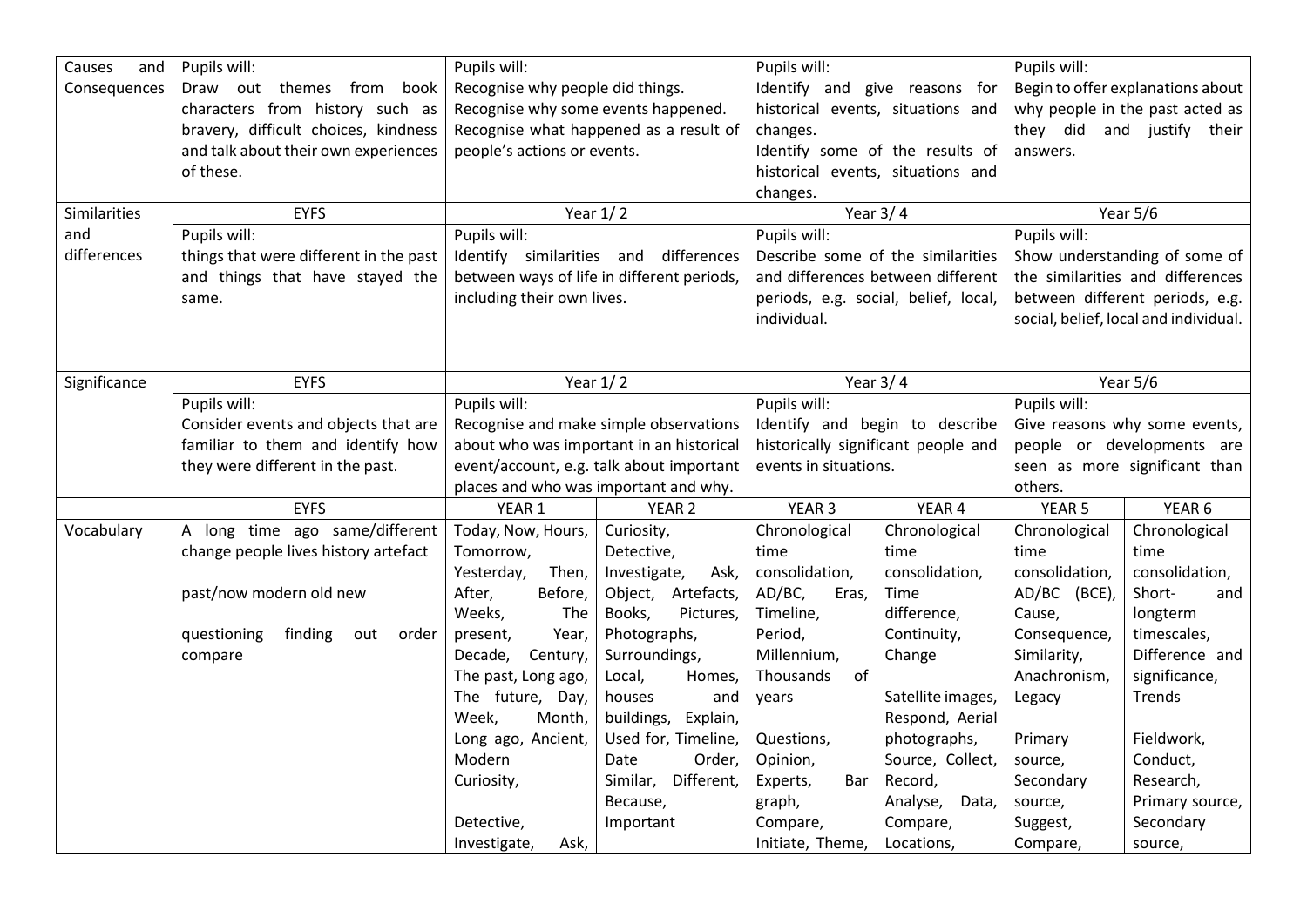| Causes<br>and | Pupils will:                           | Pupils will:                               |                                        | Pupils will:                         |                   | Pupils will:                      |                                       |
|---------------|----------------------------------------|--------------------------------------------|----------------------------------------|--------------------------------------|-------------------|-----------------------------------|---------------------------------------|
| Consequences  | Draw out themes from book              | Recognise why people did things.           |                                        | Identify and give reasons for        |                   | Begin to offer explanations about |                                       |
|               | characters from history such as        | Recognise why some events happened.        |                                        | historical events, situations and    |                   | why people in the past acted as   |                                       |
|               | bravery, difficult choices, kindness   | Recognise what happened as a result of     |                                        | changes.                             |                   | they did and justify their        |                                       |
|               | and talk about their own experiences   | people's actions or events.                |                                        | Identify some of the results of      |                   | answers.                          |                                       |
|               | of these.                              |                                            |                                        | historical events, situations and    |                   |                                   |                                       |
|               |                                        |                                            |                                        | changes.                             |                   |                                   |                                       |
| Similarities  | <b>EYFS</b>                            | Year $1/2$                                 |                                        | Year $3/4$                           |                   | Year 5/6                          |                                       |
| and           | Pupils will:                           | Pupils will:                               |                                        | Pupils will:                         |                   | Pupils will:                      |                                       |
| differences   | things that were different in the past | Identify similarities and differences      |                                        | Describe some of the similarities    |                   | Show understanding of some of     |                                       |
|               | and things that have stayed the        | between ways of life in different periods, |                                        | and differences between different    |                   | the similarities and differences  |                                       |
|               | same.                                  | including their own lives.                 |                                        | periods, e.g. social, belief, local, |                   | between different periods, e.g.   |                                       |
|               |                                        |                                            |                                        | individual.                          |                   |                                   | social, belief, local and individual. |
|               |                                        |                                            |                                        |                                      |                   |                                   |                                       |
|               |                                        |                                            |                                        |                                      |                   |                                   |                                       |
| Significance  | <b>EYFS</b>                            | Year $1/2$                                 |                                        | Year $3/4$                           |                   | Year 5/6                          |                                       |
|               | Pupils will:                           | Pupils will:                               |                                        | Pupils will:                         |                   | Pupils will:                      |                                       |
|               | Consider events and objects that are   |                                            | Recognise and make simple observations | Identify and begin to describe       |                   | Give reasons why some events,     |                                       |
|               | familiar to them and identify how      | about who was important in an historical   |                                        | historically significant people and  |                   | people or developments are        |                                       |
|               | they were different in the past.       | event/account, e.g. talk about important   |                                        | events in situations.                |                   | seen as more significant than     |                                       |
|               |                                        | places and who was important and why.      |                                        |                                      |                   | others.                           |                                       |
|               | <b>EYFS</b>                            | YEAR 1                                     | YEAR <sub>2</sub>                      | YEAR <sub>3</sub>                    | YEAR 4            | YEAR <sub>5</sub>                 | YEAR 6                                |
| Vocabulary    | A long time ago same/different         | Today, Now, Hours,                         | Curiosity,                             | Chronological                        | Chronological     | Chronological                     | Chronological                         |
|               | change people lives history artefact   | Tomorrow,                                  | Detective,                             | time                                 | time              | time                              | time                                  |
|               |                                        | Then,<br>Yesterday,                        | Investigate,<br>Ask,                   | consolidation,                       | consolidation,    | consolidation,                    | consolidation,                        |
|               | past/now modern old new                | After,<br>Before,                          | Object, Artefacts,                     | AD/BC,<br>Eras,                      | Time              | AD/BC (BCE),                      | Short-<br>and                         |
|               |                                        | Weeks,<br>The                              | Books,<br>Pictures,                    | Timeline,                            | difference,       | Cause,                            | longterm                              |
|               | finding<br>questioning<br>out<br>order | Year,<br>present,                          | Photographs,                           | Period,                              | Continuity,       | Consequence,                      | timescales,                           |
|               | compare                                | Decade,<br>Century,                        | Surroundings,                          | Millennium,                          | Change            | Similarity,                       | Difference and                        |
|               |                                        | The past, Long ago,                        | Local,<br>Homes,                       | Thousands<br>of                      |                   | Anachronism,                      | significance,                         |
|               |                                        | The future, Day,                           | houses<br>and                          | years                                | Satellite images, | Legacy                            | <b>Trends</b>                         |
|               |                                        | Week,<br>Month,                            | buildings,<br>Explain,                 |                                      | Respond, Aerial   |                                   |                                       |
|               |                                        | Long ago, Ancient,                         | Used for, Timeline,                    | Questions,                           | photographs,      | Primary                           | Fieldwork,                            |
|               |                                        | Modern                                     | Date<br>Order,                         | Opinion,                             | Source, Collect,  | source,                           | Conduct,                              |
|               |                                        | Curiosity,                                 | Similar, Different,                    | Experts,<br>Bar                      | Record,           | Secondary                         | Research,                             |
|               |                                        |                                            | Because,                               | graph,                               | Analyse,<br>Data, | source,                           | Primary source,                       |
|               |                                        | Detective,                                 | Important                              | Compare,                             | Compare,          | Suggest,                          | Secondary                             |
|               |                                        |                                            |                                        |                                      |                   |                                   |                                       |
|               |                                        | Investigate,<br>Ask,                       |                                        | Initiate, Theme,                     | Locations,        | Compare,                          | source,                               |